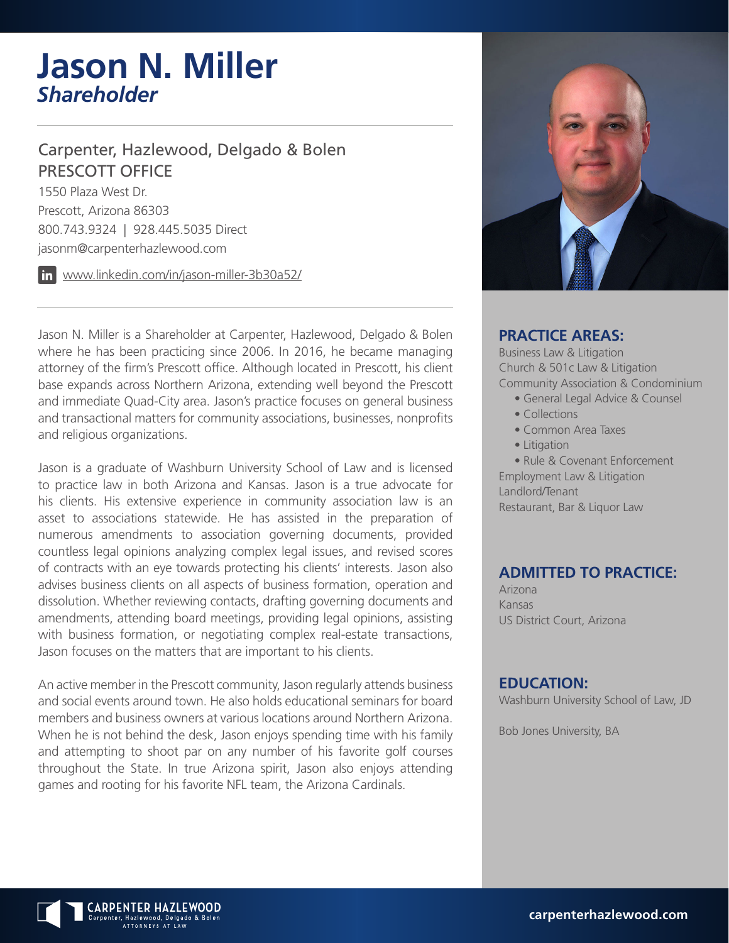# **Jason N. Miller** *Shareholder*

### Carpenter, Hazlewood, Delgado & Bolen PRESCOTT OFFICE

1550 Plaza West Dr. Prescott, Arizona 86303 800.743.9324 | 928.445.5035 Direct jasonm@carpenterhazlewood.com

www.linkedin.com/in/jason-miller-3b30a52/

Jason N. Miller is a Shareholder at Carpenter, Hazlewood, Delgado & Bolen where he has been practicing since 2006. In 2016, he became managing attorney of the firm's Prescott office. Although located in Prescott, his client base expands across Northern Arizona, extending well beyond the Prescott and immediate Quad-City area. Jason's practice focuses on general business and transactional matters for community associations, businesses, nonprofits and religious organizations.

Jason is a graduate of Washburn University School of Law and is licensed to practice law in both Arizona and Kansas. Jason is a true advocate for his clients. His extensive experience in community association law is an asset to associations statewide. He has assisted in the preparation of numerous amendments to association governing documents, provided countless legal opinions analyzing complex legal issues, and revised scores of contracts with an eye towards protecting his clients' interests. Jason also advises business clients on all aspects of business formation, operation and dissolution. Whether reviewing contacts, drafting governing documents and amendments, attending board meetings, providing legal opinions, assisting with business formation, or negotiating complex real-estate transactions, Jason focuses on the matters that are important to his clients.

An active member in the Prescott community, Jason regularly attends business and social events around town. He also holds educational seminars for board members and business owners at various locations around Northern Arizona. When he is not behind the desk, Jason enjoys spending time with his family and attempting to shoot par on any number of his favorite golf courses throughout the State. In true Arizona spirit, Jason also enjoys attending games and rooting for his favorite NFL team, the Arizona Cardinals.



#### **PRACTICE AREAS:**

Business Law & Litigation Church & 501c Law & Litigation Community Association & Condominium

- General Legal Advice & Counsel
- Collections
- Common Area Taxes
- Litigation

• Rule & Covenant Enforcement Employment Law & Litigation Landlord/Tenant Restaurant, Bar & Liquor Law

#### **ADMITTED TO PRACTICE:**

Arizona Kansas US District Court, Arizona

#### **EDUCATION:**

Washburn University School of Law, JD

Bob Jones University, BA